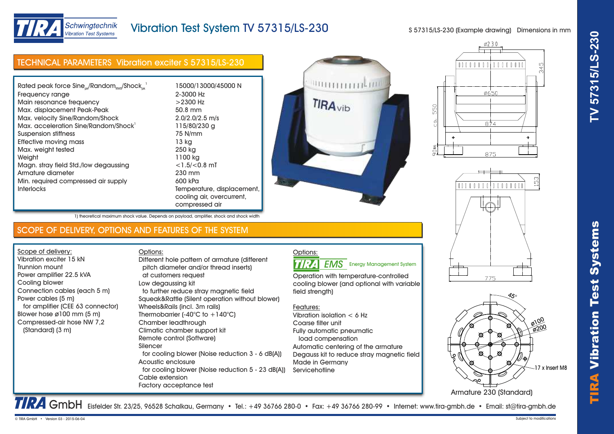



# Vibration Test System TV 57315/LS-230

S 57315/LS-230 (Example drawing) Dimensions in mm

| <b>TECHNICAL PARAMETERS Vibration exciter S 57315/LS-230</b> |                            |  |
|--------------------------------------------------------------|----------------------------|--|
| Rated peak force $Sine_{ok}/Random_{RMS}/Shock_{ok}^{-1}$    | 15000/13000/45000 N        |  |
| Frequency range                                              | 2-3000 Hz                  |  |
| Main resonance frequency                                     | $>2300$ Hz                 |  |
| Max. displacement Peak-Peak                                  | 50.8 mm                    |  |
| Max. velocity Sine/Random/Shock                              | $2.0/2.0/2.5$ m/s          |  |
| Max. acceleration Sine/Random/Shock <sup>1</sup>             | 115/80/230 g               |  |
| Suspension stiffness                                         | 75 N/mm                    |  |
| Effective moving mass                                        | 13 kg                      |  |
| Max. weight tested                                           | 250 kg                     |  |
| Weight                                                       | 1100 kg                    |  |
| Magn. stray field Std./low degaussing                        | $<$ 1.5/ $<$ 0.8 mT        |  |
| Armature diameter                                            | 230 mm                     |  |
| Min. required compressed air supply                          | 600 kPa                    |  |
| <b>Interlocks</b>                                            | Temperature, displacement, |  |
|                                                              | cooling air, overcurrent,  |  |
|                                                              | compressed air             |  |









TRA GmbH Eisfelder Str. 23/25, 96528 Schalkau, Germany • Tel.: +49 36766 280-0 • Fax: +49 36766 280-99 • Internet: www.tira-gmbh.de • Email: st@tira-gmbh.de

TIRA

Vibr

1) theoretical maximum shock value. Depends on payload, amplifier, shock and shock width

## SCOPE OF DELIVERY, OPTIONS AND FEATURES OF THE SYSTEM

Scope of delivery: Vibration exciter 15 kN Trunnion mount Power amplifier 22.5 kVA Cooling blower Connection cables (each 5 m) Power cables (5 m) for amplifier (CEE 63 connector) Blower hose ø100 mm (5 m) Compressed-air hose NW 7,2 (Standard) (3 m)

Options: pitch diameter and/or thread inserts) at customers request Low degaussing kit to further reduce stray magnetic field Squeak&Rattle (Silent operation without blower) Wheels&Rails (incl. 3m rails) Thermobarrier  $(-40^{\circ}C)$  to  $+140^{\circ}C$ ) Chamber leadthrough Climatic chamber support kit Remote control (Software) Silencer for cooling blower (Noise reduction 3 - 6 dB(A)) Acoustic enclosure for cooling blower (Noise reduction 5 - 23 dB(A)) Cable extension Factory acceptance test Different hole pattern of armature (different



Operation with temperature-controlled

cooling blower (and optional with variable field strength)

### Features:

Vibration isolation < 6 Hz Coarse filter unit Fully automatic pneumatic load compensation Automatic centering of the armature Degauss kit to reduce stray magnetic field Made in Germany **Servicehotline**